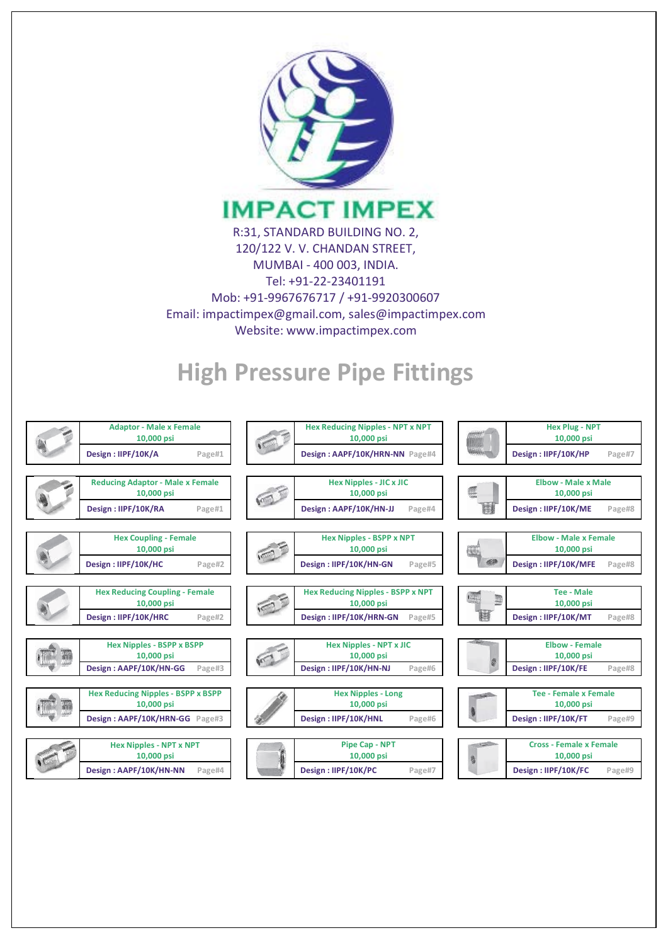

## **High Pressure Pipe Fittings**

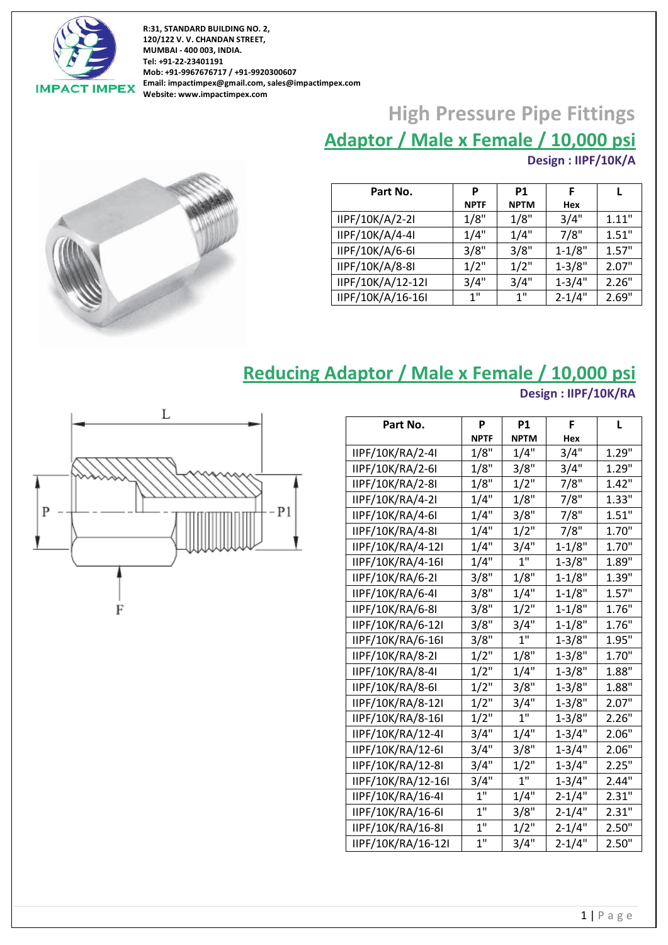

# **High Pressure Pipe Fittings**



**Adaptor / Male x Female / 10,000 psi**

**Design : IIPF/10K/A**

| Part No.          | P           | <b>P1</b>   | F          |       |
|-------------------|-------------|-------------|------------|-------|
|                   | <b>NPTF</b> | <b>NPTM</b> | Hex        |       |
| IIPF/10K/A/2-2I   | 1/8"        | 1/8"        | 3/4"       | 1.11" |
| IIPF/10K/A/4-4I   | 1/4"        | 1/4"        | 7/8"       | 1.51" |
| IIPF/10K/A/6-6I   | 3/8"        | 3/8"        | $1 - 1/8"$ | 1.57" |
| IIPF/10K/A/8-8I   | $1/2$ "     | $1/2$ "     | $1 - 3/8"$ | 2.07" |
| IIPF/10K/A/12-12I | 3/4"        | 3/4"        | $1 - 3/4"$ | 2.26" |
| IIPF/10K/A/16-16I | 1"          | 1"          | $2 - 1/4"$ | 2.69" |

#### **Reducing Adaptor / Male x Female / 10,000 psi**

**Design : IIPF/10K/RA**



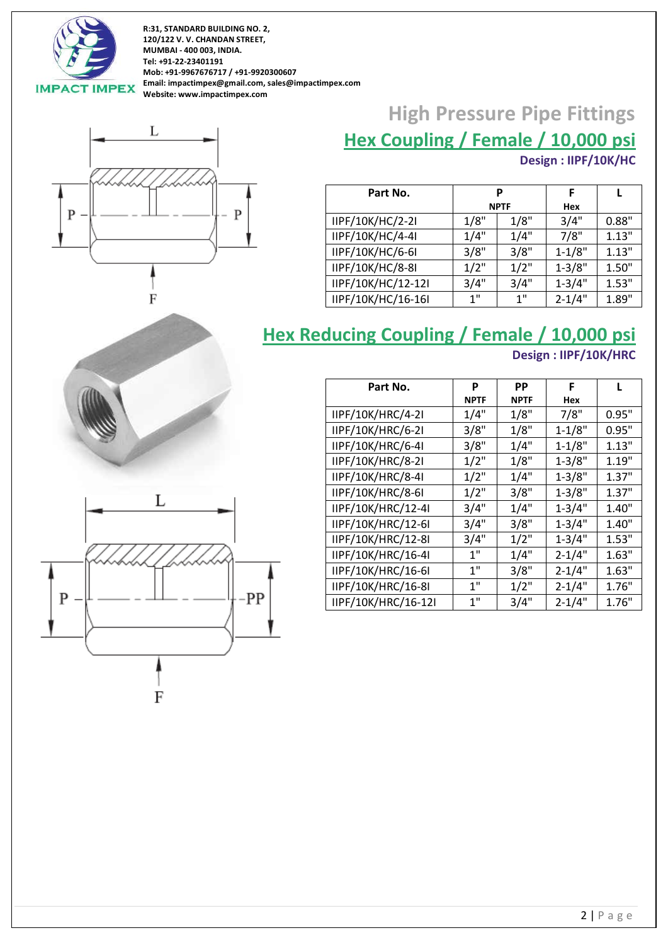



 $\mathbf F$ 

## **High Pressure Pipe Fittings Hex Coupling / Female / 10,000 psi**

**Design : IIPF/10K/HC**

| Part No.           | р       |             | F          |       |
|--------------------|---------|-------------|------------|-------|
|                    |         | <b>NPTF</b> | Hex        |       |
| IIPF/10K/HC/2-2I   | 1/8"    | 1/8"        | 3/4"       | 0.88" |
| IIPF/10K/HC/4-4I   | 1/4"    | 1/4"        | 7/8"       | 1.13" |
| IIPF/10K/HC/6-6I   | 3/8"    | 3/8"        | $1 - 1/8"$ | 1.13" |
| IIPF/10K/HC/8-8I   | $1/2$ " | $1/2$ "     | $1 - 3/8"$ | 1.50" |
| IIPF/10K/HC/12-12I | 3/4"    | 3/4"        | $1 - 3/4"$ | 1.53" |
| IIPF/10K/HC/16-16I | 1"      | 1"          | $2 - 1/4"$ | 1.89" |

#### **Hex Reducing Coupling / Female / 10,000 psi Design : IIPF/10K/HRC**

| Part No.            | P           | РP          | F          | L     |
|---------------------|-------------|-------------|------------|-------|
|                     | <b>NPTF</b> | <b>NPTF</b> | Hex        |       |
| IIPF/10K/HRC/4-2I   | 1/4"        | 1/8"        | 7/8"       | 0.95" |
| IIPF/10K/HRC/6-2I   | 3/8"        | 1/8"        | $1 - 1/8"$ | 0.95" |
| IIPF/10K/HRC/6-4I   | 3/8"        | 1/4"        | $1 - 1/8"$ | 1.13" |
| IIPF/10K/HRC/8-2I   | $1/2$ "     | 1/8"        | $1 - 3/8"$ | 1.19" |
| IIPF/10K/HRC/8-4I   | $1/2$ "     | 1/4"        | $1 - 3/8"$ | 1.37" |
| IIPF/10K/HRC/8-6I   | $1/2$ "     | 3/8"        | $1 - 3/8"$ | 1.37" |
| IIPF/10K/HRC/12-4I  | 3/4"        | 1/4"        | $1 - 3/4"$ | 1.40" |
| IIPF/10K/HRC/12-6I  | 3/4"        | 3/8"        | $1 - 3/4"$ | 1.40" |
| IIPF/10K/HRC/12-8I  | 3/4"        | $1/2$ "     | $1 - 3/4"$ | 1.53" |
| IIPF/10K/HRC/16-4I  | 1"          | 1/4"        | $2 - 1/4"$ | 1.63" |
| IIPF/10K/HRC/16-6I  | 1"          | 3/8"        | $2 - 1/4"$ | 1.63" |
| IIPF/10K/HRC/16-8I  | 1"          | $1/2$ "     | $2 - 1/4"$ | 1.76" |
| IIPF/10K/HRC/16-12I | 1"          | 3/4"        | $2 - 1/4"$ | 1.76" |

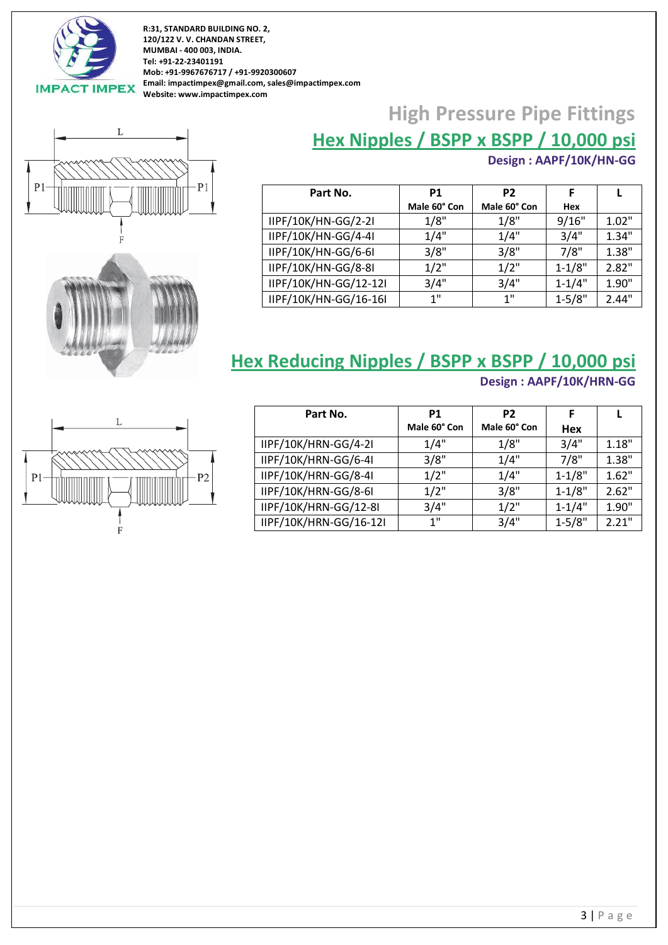

 $P<sub>1</sub>$ 

 $\mathbf L$ 

**R:31, STANDARD BUILDING NO. 2, 120/122 V. V. CHANDAN STREET, MUMBAI - 400 003, INDIA. Tel: +91-22-23401191 Mob: +91-9967676717 / +91-9920300607 Email: impactimpex@gmail.com, sales@impactimpex.com Website: www.impactimpex.com**

 $P<sub>1</sub>$ 

### **High Pressure Pipe Fittings**

**Hex Nipples / BSPP x BSPP / 10,000 psi**

#### **Design : AAPF/10K/HN-GG**

| Part No.              | P <sub>2</sub><br>P1 |              | F          |       |
|-----------------------|----------------------|--------------|------------|-------|
|                       | Male 60° Con         | Male 60° Con | Hex        |       |
| IIPF/10K/HN-GG/2-2I   | 1/8"                 | 1/8"         | 9/16"      | 1.02" |
| IIPF/10K/HN-GG/4-4I   | 1/4"                 | 1/4"         | 3/4"       | 1.34" |
| IIPF/10K/HN-GG/6-6I   | 3/8"                 | 3/8"         | 7/8"       | 1.38" |
| IIPF/10K/HN-GG/8-8I   | 1/2"                 | 1/2"         | $1 - 1/8"$ | 2.82" |
| IIPF/10K/HN-GG/12-12I | 3/4"                 | 3/4"         | $1 - 1/4"$ | 1.90" |
| IIPF/10K/HN-GG/16-16I | 1"                   | 1"           | $1 - 5/8"$ | 2.44" |

#### **Hex Reducing Nipples / BSPP x BSPP / 10,000 psi Design : AAPF/10K/HRN-GG**

| Part No.               | P <sub>1</sub> | P <sub>2</sub> |            |       |
|------------------------|----------------|----------------|------------|-------|
|                        | Male 60° Con   | Male 60° Con   | <b>Hex</b> |       |
| IIPF/10K/HRN-GG/4-2I   | 1/4"           | 1/8"           | 3/4"       | 1.18" |
| IIPF/10K/HRN-GG/6-4I   | 3/8"           | 1/4"           | 7/8"       | 1.38" |
| IIPF/10K/HRN-GG/8-4I   | $1/2$ "        | 1/4"           | $1 - 1/8"$ | 1.62" |
| IIPF/10K/HRN-GG/8-6I   | $1/2$ "        | 3/8"           | $1 - 1/8"$ | 2.62" |
| IIPF/10K/HRN-GG/12-8I  | 3/4"           | $1/2$ "        | $1 - 1/4"$ | 1.90" |
| IIPF/10K/HRN-GG/16-12I | 1"             | 3/4"           | $1 - 5/8"$ | 2.21" |



| Hex Reducing Nipples / BSPP x BSPP / 10,000 p |  |  |
|-----------------------------------------------|--|--|
|                                               |  |  |

3 | Page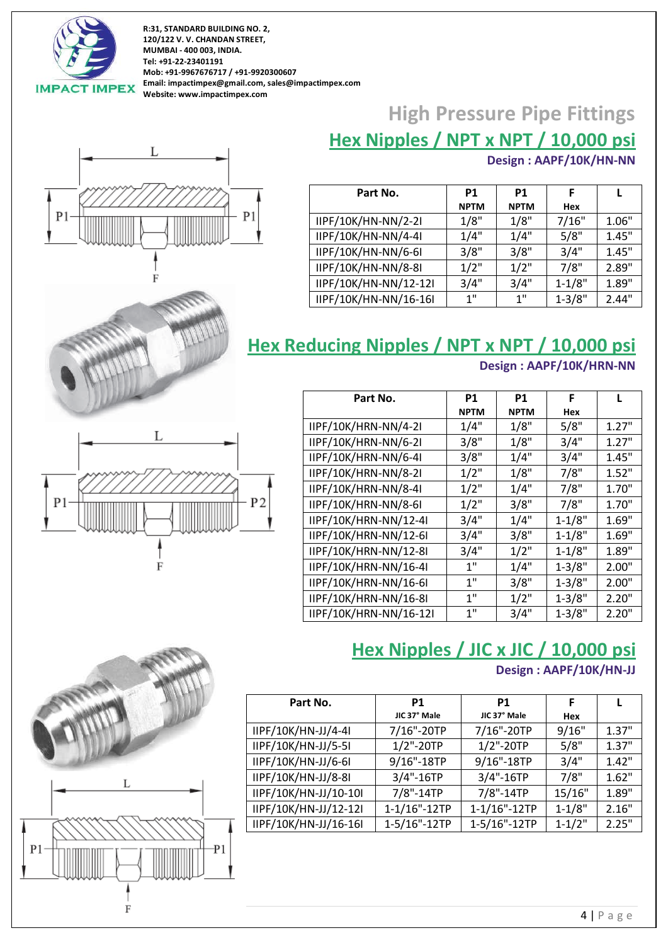

## **High Pressure Pipe Fittings Hex Nipples / NPT x NPT / 10,000 psi**



#### **Part No. P1 NPTM**<br>1/8" **P1 NPTM**<br>1/8" **F Hex L** IIPF/10K/HN-NN/2-2I 1/8" 1/8" 7/16" 1.06"  $IIPF/10K/HN-NN/4-4I$  1/4" 1/4" 5/8" 1.45" IIPF/10K/HN-NN/6-6I 3/8" 3/8" 3/4" 1.45" IIPF/10K/HN-NN/8-8I 1/2" 1/2" 7/8" 2.89"  $IIPF/10K/HN-NN/12-12I$  3/4" 3/4" 1-1/8" 1.89"  $IIPF/10K/HN-NN/16-16I$   $1^"$   $1^"$   $1^"$   $1-3/8"$  2.44"

## **Hex Reducing Nipples / NPT x NPT / 10,000 psi**



 $P<sub>1</sub>$ 

 $\mathbf F$ 

| Part No.               | <b>P1</b>   | P1          | F          | L     |
|------------------------|-------------|-------------|------------|-------|
|                        | <b>NPTM</b> | <b>NPTM</b> | Hex        |       |
| IIPF/10K/HRN-NN/4-2I   | 1/4"        | 1/8"        | 5/8"       | 1.27" |
| IIPF/10K/HRN-NN/6-2I   | 3/8"        | 1/8"        | 3/4"       | 1.27" |
| IIPF/10K/HRN-NN/6-4I   | 3/8"        | 1/4"        | 3/4"       | 1.45" |
| IIPF/10K/HRN-NN/8-2I   | $1/2$ "     | 1/8"        | 7/8"       | 1.52" |
| IIPF/10K/HRN-NN/8-4I   | $1/2$ "     | 1/4"        | 7/8"       | 1.70" |
| IIPF/10K/HRN-NN/8-6I   | $1/2$ "     | 3/8"        | 7/8"       | 1.70" |
| IIPF/10K/HRN-NN/12-4I  | 3/4"        | 1/4"        | $1 - 1/8"$ | 1.69" |
| IIPF/10K/HRN-NN/12-6I  | 3/4"        | 3/8"        | $1 - 1/8"$ | 1.69" |
| IIPF/10K/HRN-NN/12-8I  | 3/4"        | $1/2$ "     | $1 - 1/8"$ | 1.89" |
| IIPF/10K/HRN-NN/16-4I  | 1"          | 1/4"        | $1 - 3/8"$ | 2.00" |
| IIPF/10K/HRN-NN/16-6I  | 1"          | 3/8"        | $1 - 3/8"$ | 2.00" |
| IIPF/10K/HRN-NN/16-8I  | 1"          | $1/2$ "     | $1 - 3/8"$ | 2.20" |
| IIPF/10K/HRN-NN/16-12I | 1"          | 3/4"        | $1 - 3/8"$ | 2.20" |

## **Hex Nipples / JIC x JIC / 10,000 psi**

**Design : AAPF/10K/HN-JJ**

| Part No.              | P <sub>1</sub> | <b>P1</b>    | F          |       |
|-----------------------|----------------|--------------|------------|-------|
|                       | JIC 37° Male   | JIC 37° Male | Hex        |       |
| IIPF/10K/HN-JJ/4-4I   | 7/16"-20TP     | 7/16"-20TP   | 9/16"      | 1.37" |
| IIPF/10K/HN-JJ/5-5I   | $1/2$ "-20TP   | $1/2$ "-20TP | 5/8"       | 1.37" |
| IIPF/10K/HN-JJ/6-6I   | 9/16"-18TP     | 9/16"-18TP   | 3/4"       | 1.42" |
| IIPF/10K/HN-JJ/8-8I   | $3/4$ "-16TP   | $3/4$ "-16TP | 7/8"       | 1.62" |
| IIPF/10K/HN-JJ/10-10I | 7/8"-14TP      | 7/8"-14TP    | 15/16"     | 1.89" |
| IIPF/10K/HN-JJ/12-12I | 1-1/16"-12TP   | 1-1/16"-12TP | $1 - 1/8"$ | 2.16" |
| IIPF/10K/HN-JJ/16-16I | 1-5/16"-12TP   | 1-5/16"-12TP | $1 - 1/2"$ | 2.25" |

**Design : AAPF/10K/HRN-NN**

**Design : AAPF/10K/HN-NN**

#### 4 | Page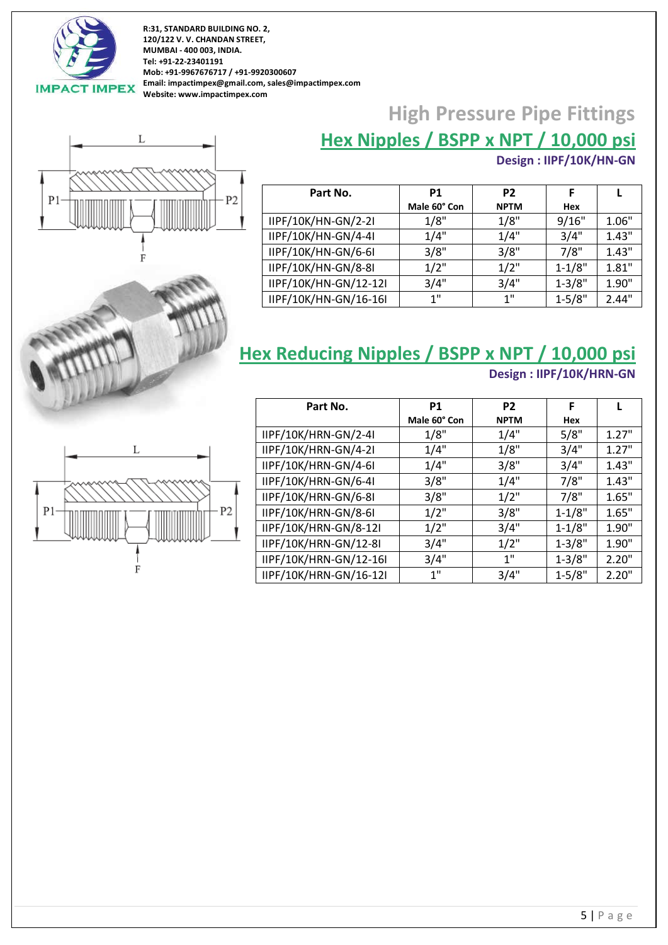

 $P1$ 

**R:31, STANDARD BUILDING NO. 2, 120/122 V. V. CHANDAN STREET, MUMBAI - 400 003, INDIA. Tel: +91-22-23401191 Mob: +91-9967676717 / +91-9920300607 Email: impactimpex@gmail.com, sales@impactimpex.com Website: www.impactimpex.com**

P<sub>2</sub>

## **High Pressure Pipe Fittings**



| Part No.              | P1           | P <sub>2</sub> | F          | L     |
|-----------------------|--------------|----------------|------------|-------|
|                       | Male 60° Con | <b>NPTM</b>    | Hex        |       |
| IIPF/10K/HN-GN/2-2I   | 1/8"         | 1/8"           | 9/16"      | 1.06" |
| IIPF/10K/HN-GN/4-4I   | 1/4"         | 1/4"           | 3/4"       | 1.43" |
| IIPF/10K/HN-GN/6-6I   | 3/8"         | 3/8"           | 7/8"       | 1.43" |
| IIPF/10K/HN-GN/8-8I   | $1/2$ "      | $1/2$ "        | $1 - 1/8"$ | 1.81" |
| IIPF/10K/HN-GN/12-12I | 3/4"         | 3/4"           | $1 - 3/8"$ | 1.90" |
| IIPF/10K/HN-GN/16-16I | 1"           | 1"             | $1 - 5/8"$ | 2.44" |

#### **Hex Reducing Nipples / BSPP x NPT / 10,000 psi Design : IIPF/10K/HRN-GN**



L

| Part No.               | <b>P1</b>    | P <sub>2</sub> | F          |       |
|------------------------|--------------|----------------|------------|-------|
|                        | Male 60° Con | <b>NPTM</b>    | Hex        |       |
| IIPF/10K/HRN-GN/2-4I   | 1/8"         | 1/4"           | 5/8"       | 1.27" |
| IIPF/10K/HRN-GN/4-2I   | 1/4"         | 1/8"           | 3/4"       | 1.27" |
| IIPF/10K/HRN-GN/4-6I   | 1/4"         | 3/8"           | 3/4"       | 1.43" |
| IIPF/10K/HRN-GN/6-4I   | 3/8"         | 1/4"           | 7/8"       | 1.43" |
| IIPF/10K/HRN-GN/6-8I   | 3/8"         | $1/2$ "        | 7/8"       | 1.65" |
| IIPF/10K/HRN-GN/8-6I   | 1/2"         | 3/8"           | $1 - 1/8"$ | 1.65" |
| IIPF/10K/HRN-GN/8-12I  | $1/2$ "      | 3/4"           | $1 - 1/8"$ | 1.90" |
| IIPF/10K/HRN-GN/12-8I  | 3/4"         | $1/2$ "        | $1 - 3/8"$ | 1.90" |
| IIPF/10K/HRN-GN/12-16I | 3/4"         | 1"             | $1 - 3/8"$ | 2.20" |
| IIPF/10K/HRN-GN/16-12I | 1"           | 3/4"           | $1 - 5/8"$ | 2.20" |

L  $-P2$  $P1$ F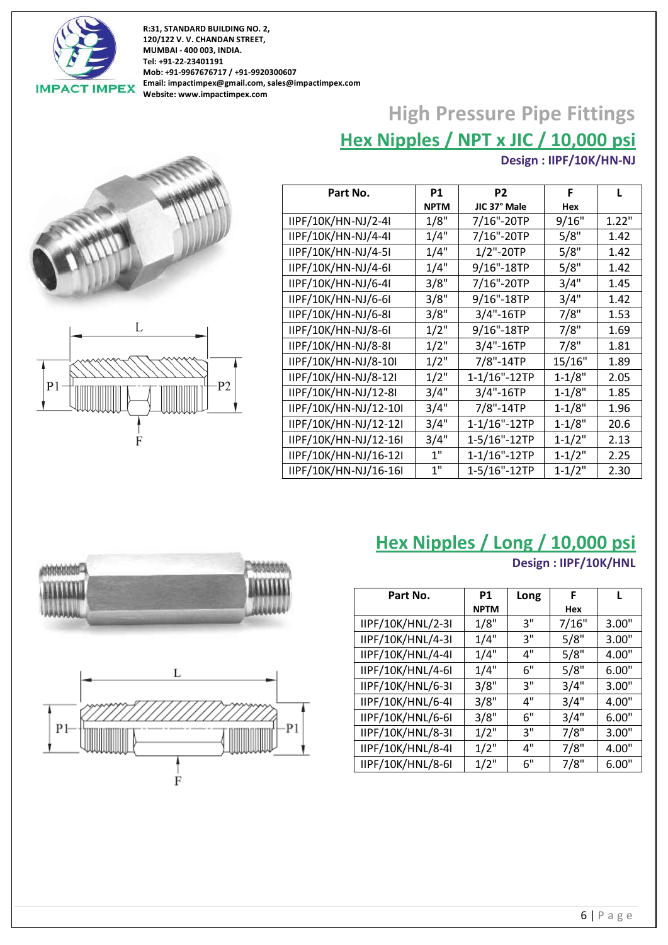

### **High Pressure Pipe Fittings Hex Nipples / NPT x JIC / 10,000 psi**

**Design : IIPF/10K/HN-NJ**





| Part No.              | <b>P1</b>   | P2           |            | L     |
|-----------------------|-------------|--------------|------------|-------|
|                       | <b>NPTM</b> | JIC 37° Male | Hex        |       |
| IIPF/10K/HN-NJ/2-4I   | 1/8"        | 7/16"-20TP   | 9/16"      | 1.22" |
| IIPF/10K/HN-NJ/4-4I   | 1/4"        | 7/16"-20TP   | 5/8"       | 1.42  |
| IIPF/10K/HN-NJ/4-5I   | 1/4"        | $1/2$ "-20TP | 5/8"       | 1.42  |
| IIPF/10K/HN-NJ/4-6I   | 1/4"        | 9/16"-18TP   | 5/8"       | 1.42  |
| IIPF/10K/HN-NJ/6-4I   | 3/8"        | 7/16"-20TP   | 3/4"       | 1.45  |
| IIPF/10K/HN-NJ/6-6I   | 3/8"        | 9/16"-18TP   | 3/4"       | 1.42  |
| IIPF/10K/HN-NJ/6-8I   | 3/8"        | 3/4"-16TP    | 7/8"       | 1.53  |
| IIPF/10K/HN-NJ/8-6I   | 1/2"        | 9/16"-18TP   | 7/8"       | 1.69  |
| IIPF/10K/HN-NJ/8-8I   | 1/2"        | 3/4"-16TP    | 7/8"       | 1.81  |
| IIPF/10K/HN-NJ/8-10I  | 1/2"        | 7/8"-14TP    | 15/16"     | 1.89  |
| IIPF/10K/HN-NJ/8-12I  | 1/2"        | 1-1/16"-12TP | $1 - 1/8"$ | 2.05  |
| IIPF/10K/HN-NJ/12-8I  | 3/4"        | 3/4"-16TP    | $1 - 1/8"$ | 1.85  |
| IIPF/10K/HN-NJ/12-10I | 3/4"        | 7/8"-14TP    | $1 - 1/8"$ | 1.96  |
| IIPF/10K/HN-NJ/12-12I | 3/4"        | 1-1/16"-12TP | $1 - 1/8"$ | 20.6  |
| IIPF/10K/HN-NJ/12-16I | 3/4"        | 1-5/16"-12TP | $1 - 1/2"$ | 2.13  |
| IIPF/10K/HN-NJ/16-12I | 1"          | 1-1/16"-12TP | $1 - 1/2"$ | 2.25  |
| IIPF/10K/HN-NJ/16-16I | 1"          | 1-5/16"-12TP | $1 - 1/2"$ | 2.30  |





#### **Hex Nipples / Long / 10,000 psi**

**Design : IIPF/10K/HNL**

| Part No.          | <b>P1</b>   | Long | F     | L     |
|-------------------|-------------|------|-------|-------|
|                   | <b>NPTM</b> |      | Hex   |       |
| IIPF/10K/HNL/2-3I | 1/8"        | 3"   | 7/16" | 3.00" |
| IIPF/10K/HNL/4-3I | 1/4"        | 3"   | 5/8"  | 3.00" |
| IIPF/10K/HNL/4-4I | 1/4"        | 4"   | 5/8"  | 4.00" |
| IIPF/10K/HNL/4-6I | 1/4"        | 6"   | 5/8"  | 6.00" |
| IIPF/10K/HNL/6-3I | 3/8"        | 3"   | 3/4"  | 3.00" |
| IIPF/10K/HNL/6-4I | 3/8"        | 4"   | 3/4"  | 4.00" |
| IIPF/10K/HNL/6-6I | 3/8"        | 6"   | 3/4"  | 6.00" |
| IIPF/10K/HNL/8-3I | 1/2"        | 3"   | 7/8"  | 3.00" |
| IIPF/10K/HNL/8-4I | $1/2$ "     | 4"   | 7/8"  | 4.00" |
| IIPF/10K/HNL/8-6I | $1/2$ "     | 6"   | 7/8"  | 6.00" |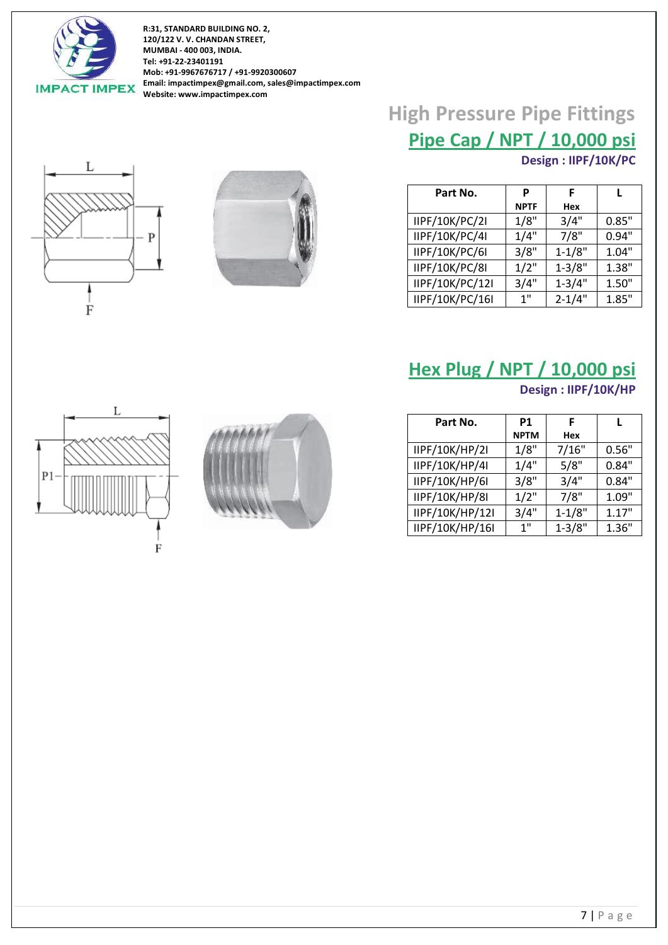





## **High Pressure Pipe Fittings Pipe Cap / NPT / 10,000 psi**

**Design : IIPF/10K/PC**

| Part No.        | P           | F          |       |
|-----------------|-------------|------------|-------|
|                 | <b>NPTF</b> | Hex        |       |
| IIPF/10K/PC/2I  | 1/8"        | 3/4"       | 0.85" |
| IIPF/10K/PC/4I  | 1/4"        | 7/8"       | 0.94" |
| IIPF/10K/PC/6I  | 3/8"        | $1 - 1/8"$ | 1.04" |
| IIPF/10K/PC/8I  | $1/2$ "     | $1 - 3/8"$ | 1.38" |
| IIPF/10K/PC/12I | 3/4"        | $1 - 3/4"$ | 1.50" |
| IIPF/10K/PC/16I | 1"          | $2 - 1/4"$ | 1.85" |

### **Hex Plug / NPT / 10,000 psi**

**Design : IIPF/10K/HP**

| Part No.        | <b>P1</b>   | F          |       |
|-----------------|-------------|------------|-------|
|                 | <b>NPTM</b> | Hex        |       |
| IIPF/10K/HP/2I  | 1/8"        | 7/16"      | 0.56" |
| IIPF/10K/HP/4I  | 1/4"        | 5/8"       | 0.84" |
| IIPF/10K/HP/6I  | 3/8"        | 3/4"       | 0.84" |
| IIPF/10K/HP/8I  | $1/2$ "     | 7/8"       | 1.09" |
| IIPF/10K/HP/12I | 3/4"        | $1 - 1/8"$ | 1.17" |
| IIPF/10K/HP/16I | 1"          | $1 - 3/8"$ | 1.36" |

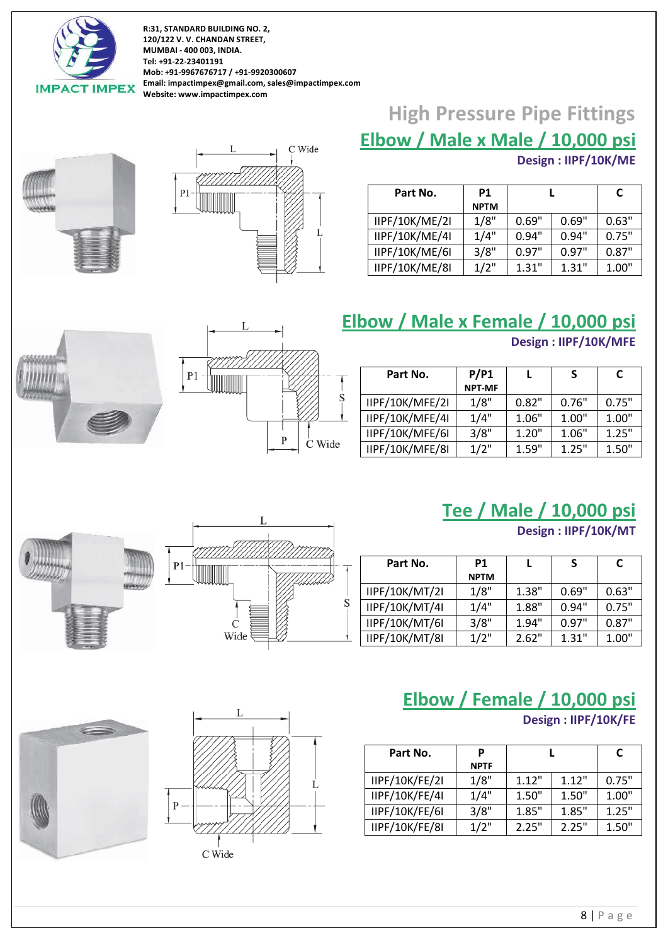





## **High Pressure Pipe Fittings**

## **Elbow / Male x Male / 10,000 psi**

**Design : IIPF/10K/ME**

| Part No.       | P1<br><b>NPTM</b> |       |       | C     |
|----------------|-------------------|-------|-------|-------|
| IIPF/10K/ME/2I | 1/8"              | 0.69" | 0.69" | 0.63" |
| IIPF/10K/ME/4I | 1/4"              | 0.94" | 0.94" | 0.75" |
| IIPF/10K/ME/6I | 3/8"              | 0.97" | 0.97" | 0.87" |
| IIPF/10K/ME/8I | 1/2"              | 1.31" | 1.31" | 1.00" |

### **Elbow / Male x Female / 10,000 psi**



#### **Design : IIPF/10K/MFE**

| Part No.        | P/P1<br><b>NPT-MF</b> |       |       |       |
|-----------------|-----------------------|-------|-------|-------|
| IIPF/10K/MFE/2I | 1/8"                  | 0.82" | 0.76" | 0.75" |
| IIPF/10K/MFE/4I | 1/4"                  | 1.06" | 1.00" | 1.00" |
| IIPF/10K/MFE/6I | 3/8"                  | 1.20" | 1.06" | 1.25" |
| IIPF/10K/MFE/8I | 1/2"                  | 1.59" | 1.25" | 1.50" |



**Design : IIPF/10K/MT**

| Part No.       | <b>P1</b><br><b>NPTM</b> |       |       | C     |
|----------------|--------------------------|-------|-------|-------|
| IIPF/10K/MT/2I | 1/8"                     | 1.38" | 0.69" | 0.63" |
| IIPF/10K/MT/4I | 1/4"                     | 1.88" | 0.94" | 0.75" |
| IIPF/10K/MT/6I | 3/8"                     | 1.94" | 0.97" | 0.87" |
| IIPF/10K/MT/8I | 1/2"                     | 2.62" | 1.31" | 1.00" |





#### **Elbow / Female / 10,000 psi**

#### **Design : IIPF/10K/FE**

| Part No.       | P           |       |       | C     |
|----------------|-------------|-------|-------|-------|
|                | <b>NPTF</b> |       |       |       |
| IIPF/10K/FE/2I | 1/8"        | 1.12" | 1.12" | 0.75" |
| IIPF/10K/FE/4I | 1/4"        | 1.50" | 1.50" | 1.00" |
| IIPF/10K/FE/6I | 3/8"        | 1.85" | 1.85" | 1.25" |
| IIPF/10K/FE/8I | 1/2"        | 2.25" | 2.25" | 1.50" |